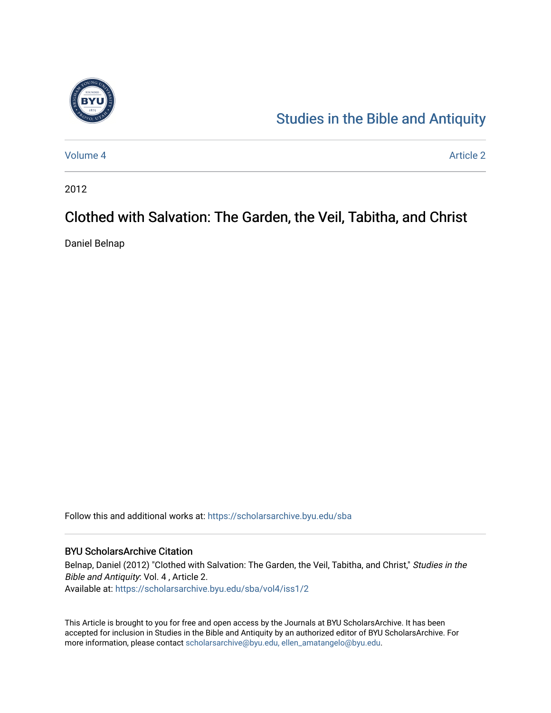

## [Studies in the Bible and Antiquity](https://scholarsarchive.byu.edu/sba)

[Volume 4](https://scholarsarchive.byu.edu/sba/vol4) Article 2

2012

# Clothed with Salvation: The Garden, the Veil, Tabitha, and Christ

Daniel Belnap

Follow this and additional works at: [https://scholarsarchive.byu.edu/sba](https://scholarsarchive.byu.edu/sba?utm_source=scholarsarchive.byu.edu%2Fsba%2Fvol4%2Fiss1%2F2&utm_medium=PDF&utm_campaign=PDFCoverPages)

### BYU ScholarsArchive Citation

Belnap, Daniel (2012) "Clothed with Salvation: The Garden, the Veil, Tabitha, and Christ," Studies in the Bible and Antiquity: Vol. 4 , Article 2. Available at: [https://scholarsarchive.byu.edu/sba/vol4/iss1/2](https://scholarsarchive.byu.edu/sba/vol4/iss1/2?utm_source=scholarsarchive.byu.edu%2Fsba%2Fvol4%2Fiss1%2F2&utm_medium=PDF&utm_campaign=PDFCoverPages)

This Article is brought to you for free and open access by the Journals at BYU ScholarsArchive. It has been accepted for inclusion in Studies in the Bible and Antiquity by an authorized editor of BYU ScholarsArchive. For more information, please contact [scholarsarchive@byu.edu, ellen\\_amatangelo@byu.edu.](mailto:scholarsarchive@byu.edu,%20ellen_amatangelo@byu.edu)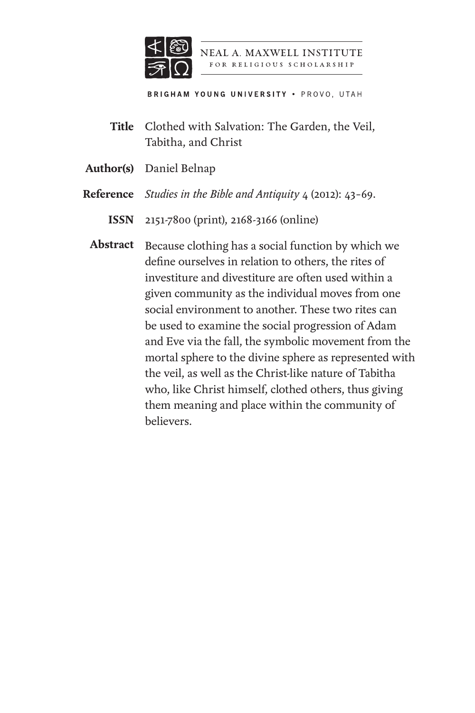

NEAL A. MAXWELL INSTITUTE FOR RELIGIOUS SCHOLARSHIP

**BRIGHAM YOUNG UNIVERSITY . PROVO, UTAH** 

- Clothed with Salvation: The Garden, the Veil, **Title** Tabitha, and Christ
- Author(s) Daniel Belnap
- *Studies in the Bible and Antiquity* 4 (2012): 43–69. **Reference**
	- 2151-7800 (print), 2168-3166 (online) **ISSN**
	- Abstract Because clothing has a social function by which we define ourselves in relation to others, the rites of investiture and divestiture are often used within a given community as the individual moves from one social environment to another. These two rites can be used to examine the social progression of Adam and Eve via the fall, the symbolic movement from the mortal sphere to the divine sphere as represented with the veil, as well as the Christ-like nature of Tabitha who, like Christ himself, clothed others, thus giving them meaning and place within the community of believers.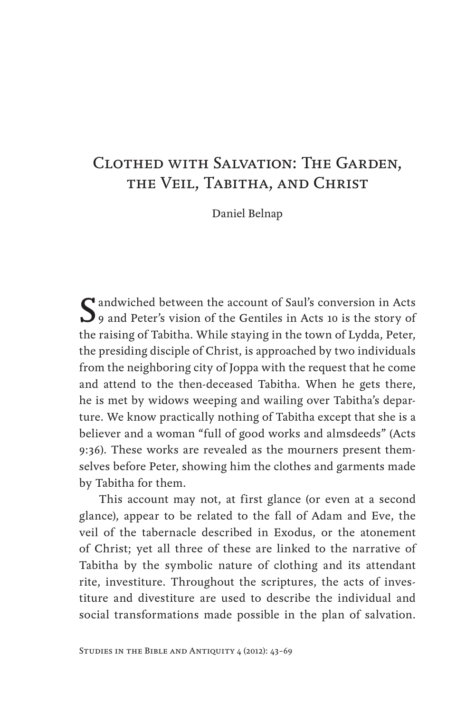## Clothed with Salvation: The Garden, the Veil, Tabitha, and Christ

Daniel Belnap

Saul's conversion in Acts<br>
9 and Peter's vision of the Gentiles in Acts 10 is the story of the raising of Tabitha. While staying in the town of Lydda, Peter, the presiding disciple of Christ, is approached by two individuals from the neighboring city of Joppa with the request that he come and attend to the then-deceased Tabitha. When he gets there, he is met by widows weeping and wailing over Tabitha's departure. We know practically nothing of Tabitha except that she is a believer and a woman "full of good works and almsdeeds" (Acts 9:36). These works are revealed as the mourners present themselves before Peter, showing him the clothes and garments made by Tabitha for them.

This account may not, at first glance (or even at a second glance), appear to be related to the fall of Adam and Eve, the veil of the tabernacle described in Exodus, or the atonement of Christ; yet all three of these are linked to the narrative of Tabitha by the symbolic nature of clothing and its attendant rite, investiture. Throughout the scriptures, the acts of investiture and divestiture are used to describe the individual and social transformations made possible in the plan of salvation.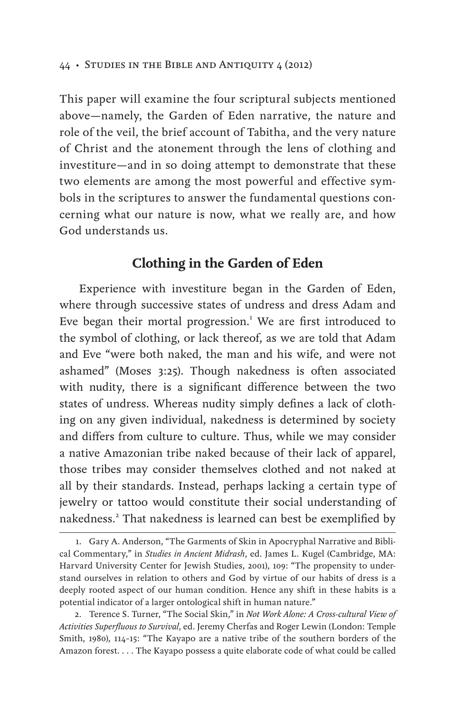This paper will examine the four scriptural subjects mentioned above—namely, the Garden of Eden narrative, the nature and role of the veil, the brief account of Tabitha, and the very nature of Christ and the atonement through the lens of clothing and investiture—and in so doing attempt to demonstrate that these two elements are among the most powerful and effective symbols in the scriptures to answer the fundamental questions concerning what our nature is now, what we really are, and how God understands us.

## **Clothing in the Garden of Eden**

Experience with investiture began in the Garden of Eden, where through successive states of undress and dress Adam and Eve began their mortal progression.<sup>1</sup> We are first introduced to the symbol of clothing, or lack thereof, as we are told that Adam and Eve "were both naked, the man and his wife, and were not ashamed" (Moses 3:25). Though nakedness is often associated with nudity, there is a significant difference between the two states of undress. Whereas nudity simply defines a lack of clothing on any given individual, nakedness is determined by society and differs from culture to culture. Thus, while we may consider a native Amazonian tribe naked because of their lack of apparel, those tribes may consider themselves clothed and not naked at all by their standards. Instead, perhaps lacking a certain type of jewelry or tattoo would constitute their social understanding of nakedness.<sup>2</sup> That nakedness is learned can best be exemplified by

<sup>1.</sup> Gary A. Anderson, "The Garments of Skin in Apocryphal Narrative and Biblical Commentary," in *Studies in Ancient Midrash*, ed. James L. Kugel (Cambridge, MA: Harvard University Center for Jewish Studies, 2001), 109: "The propensity to understand ourselves in relation to others and God by virtue of our habits of dress is a deeply rooted aspect of our human condition. Hence any shift in these habits is a potential indicator of a larger ontological shift in human nature."

<sup>2.</sup> Terence S. Turner, "The Social Skin," in *Not Work Alone: A Cross-cultural View of Activities Superfluous to Survival*, ed. Jeremy Cherfas and Roger Lewin (London: Temple Smith, 1980), 114–15: "The Kayapo are a native tribe of the southern borders of the Amazon forest. . . . The Kayapo possess a quite elaborate code of what could be called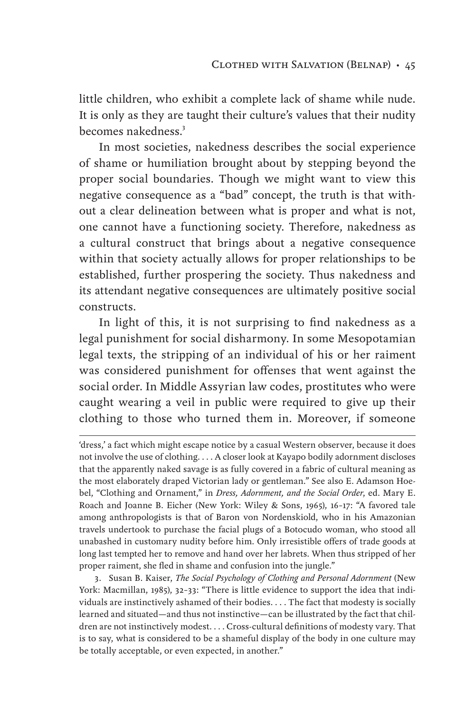little children, who exhibit a complete lack of shame while nude. It is only as they are taught their culture's values that their nudity becomes nakedness.<sup>3</sup>

In most societies, nakedness describes the social experience of shame or humiliation brought about by stepping beyond the proper social boundaries. Though we might want to view this negative consequence as a "bad" concept, the truth is that without a clear delineation between what is proper and what is not, one cannot have a functioning society. Therefore, nakedness as a cultural construct that brings about a negative consequence within that society actually allows for proper relationships to be established, further prospering the society. Thus nakedness and its attendant negative consequences are ultimately positive social constructs.

In light of this, it is not surprising to find nakedness as a legal punishment for social disharmony. In some Mesopotamian legal texts, the stripping of an individual of his or her raiment was considered punishment for offenses that went against the social order. In Middle Assyrian law codes, prostitutes who were caught wearing a veil in public were required to give up their clothing to those who turned them in. Moreover, if someone

'dress,' a fact which might escape notice by a casual Western observer, because it does not involve the use of clothing. . . . A closer look at Kayapo bodily adornment discloses that the apparently naked savage is as fully covered in a fabric of cultural meaning as the most elaborately draped Victorian lady or gentleman." See also E. Adamson Hoebel, "Clothing and Ornament," in *Dress, Adornment, and the Social Order*, ed. Mary E. Roach and Joanne B. Eicher (New York: Wiley & Sons, 1965), 16–17: "A favored tale among anthropologists is that of Baron von Nordenskiold, who in his Amazonian travels undertook to purchase the facial plugs of a Botocudo woman, who stood all unabashed in customary nudity before him. Only irresistible offers of trade goods at long last tempted her to remove and hand over her labrets. When thus stripped of her proper raiment, she fled in shame and confusion into the jungle."

3. Susan B. Kaiser, *The Social Psychology of Clothing and Personal Adornment* (New York: Macmillan, 1985), 32–33: "There is little evidence to support the idea that individuals are instinctively ashamed of their bodies. . . . The fact that modesty is socially learned and situated—and thus not instinctive—can be illustrated by the fact that children are not instinctively modest. . . . Cross-cultural definitions of modesty vary. That is to say, what is considered to be a shameful display of the body in one culture may be totally acceptable, or even expected, in another."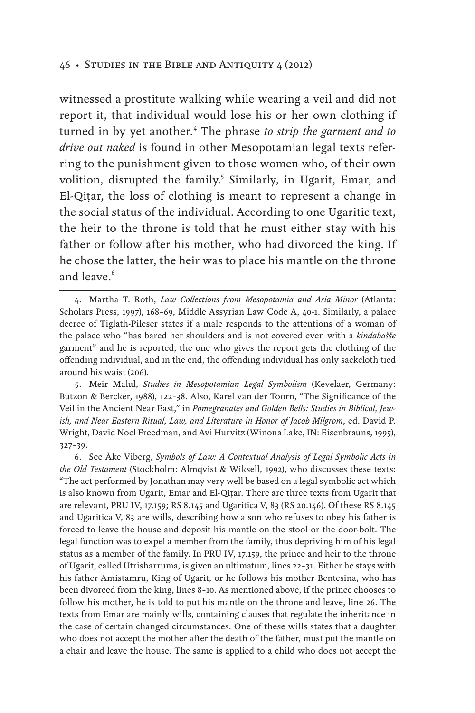witnessed a prostitute walking while wearing a veil and did not report it, that individual would lose his or her own clothing if turned in by yet another.<sup>4</sup> The phrase *to strip the garment and to drive out naked* is found in other Mesopotamian legal texts referring to the punishment given to those women who, of their own volition, disrupted the family.<sup>5</sup> Similarly, in Ugarit, Emar, and El-Qiṭar, the loss of clothing is meant to represent a change in the social status of the individual. According to one Ugaritic text, the heir to the throne is told that he must either stay with his father or follow after his mother, who had divorced the king. If he chose the latter, the heir was to place his mantle on the throne and leave.<sup>6</sup>

5. Meir Malul, *Studies in Mesopotamian Legal Symbolism* (Kevelaer, Germany: Butzon & Bercker, 1988), 122–38. Also, Karel van der Toorn, "The Significance of the Veil in the Ancient Near East," in *Pomegranates and Golden Bells: Studies in Biblical, Jewish, and Near Eastern Ritual, Law, and Literature in Honor of Jacob Milgrom*, ed. David P. Wright, David Noel Freedman, and Avi Hurvitz (Winona Lake, IN: Eisenbrauns, 1995), 327–39.

6. See Åke Viberg, *Symbols of Law: A Contextual Analysis of Legal Symbolic Acts in the Old Testament* (Stockholm: Almqvist & Wiksell, 1992), who discusses these texts: "The act performed by Jonathan may very well be based on a legal symbolic act which is also known from Ugarit, Emar and El-Qiṭar. There are three texts from Ugarit that are relevant, PRU IV, 17.159; RS 8.145 and Ugaritica V, 83 (RS 20.146). Of these RS 8.145 and Ugaritica V, 83 are wills, describing how a son who refuses to obey his father is forced to leave the house and deposit his mantle on the stool or the door-bolt. The legal function was to expel a member from the family, thus depriving him of his legal status as a member of the family. In PRU IV, 17.159, the prince and heir to the throne of Ugarit, called Utrisharruma, is given an ultimatum, lines 22–31. Either he stays with his father Amistamru, King of Ugarit, or he follows his mother Bentesina, who has been divorced from the king, lines 8–10. As mentioned above, if the prince chooses to follow his mother, he is told to put his mantle on the throne and leave, line 26. The texts from Emar are mainly wills, containing clauses that regulate the inheritance in the case of certain changed circumstances. One of these wills states that a daughter who does not accept the mother after the death of the father, must put the mantle on a chair and leave the house. The same is applied to a child who does not accept the

<sup>4.</sup> Martha T. Roth, *Law Collections from Mesopotamia and Asia Minor* (Atlanta: Scholars Press, 1997), 168–69, Middle Assyrian Law Code A, 40-1. Similarly, a palace decree of Tiglath-Pileser states if a male responds to the attentions of a woman of the palace who "has bared her shoulders and is not covered even with a *kindabašše* garment" and he is reported, the one who gives the report gets the clothing of the offending individual, and in the end, the offending individual has only sackcloth tied around his waist (206).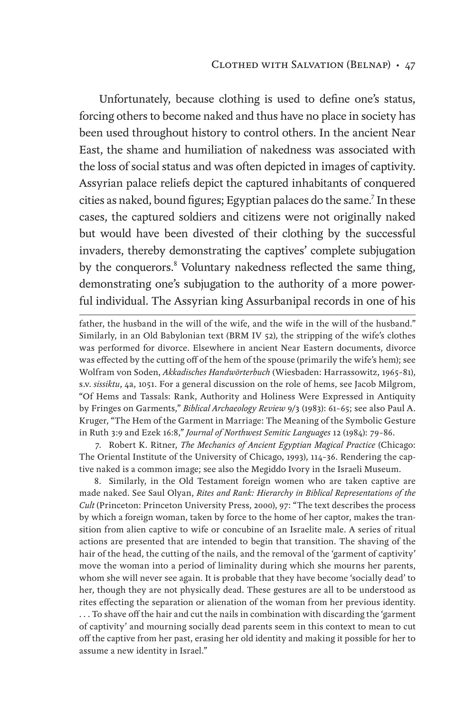Unfortunately, because clothing is used to define one's status, forcing others to become naked and thus have no place in society has been used throughout history to control others. In the ancient Near East, the shame and humiliation of nakedness was associated with the loss of social status and was often depicted in images of captivity. Assyrian palace reliefs depict the captured inhabitants of conquered cities as naked, bound figures; Egyptian palaces do the same.<sup>7</sup> In these cases, the captured soldiers and citizens were not originally naked but would have been divested of their clothing by the successful invaders, thereby demonstrating the captives' complete subjugation by the conquerors.<sup>8</sup> Voluntary nakedness reflected the same thing, demonstrating one's subjugation to the authority of a more powerful individual. The Assyrian king Assurbanipal records in one of his

father, the husband in the will of the wife, and the wife in the will of the husband." Similarly, in an Old Babylonian text (BRM IV 52), the stripping of the wife's clothes was performed for divorce. Elsewhere in ancient Near Eastern documents, divorce was effected by the cutting off of the hem of the spouse (primarily the wife's hem); see Wolfram von Soden, *Akkadisches Handwörterbuch* (Wiesbaden: Harrassowitz, 1965–81), s.v. *sissiktu*, 4a, 1051. For a general discussion on the role of hems, see Jacob Milgrom, "Of Hems and Tassals: Rank, Authority and Holiness Were Expressed in Antiquity by Fringes on Garments," *Biblical Archaeology Review* 9/3 (1983): 61–65; see also Paul A. Kruger, "The Hem of the Garment in Marriage: The Meaning of the Symbolic Gesture in Ruth 3:9 and Ezek 16:8," *Journal of Northwest Semitic Languages* 12 (1984): 79–86.

7. Robert K. Ritner, *The Mechanics of Ancient Egyptian Magical Practice* (Chicago: The Oriental Institute of the University of Chicago, 1993), 114–36. Rendering the captive naked is a common image; see also the Megiddo Ivory in the Israeli Museum.

8. Similarly, in the Old Testament foreign women who are taken captive are made naked. See Saul Olyan, *Rites and Rank: Hierarchy in Biblical Representations of the Cult* (Princeton: Princeton University Press, 2000), 97: "The text describes the process by which a foreign woman, taken by force to the home of her captor, makes the transition from alien captive to wife or concubine of an Israelite male. A series of ritual actions are presented that are intended to begin that transition. The shaving of the hair of the head, the cutting of the nails, and the removal of the 'garment of captivity' move the woman into a period of liminality during which she mourns her parents, whom she will never see again. It is probable that they have become 'socially dead' to her, though they are not physically dead. These gestures are all to be understood as rites effecting the separation or alienation of the woman from her previous identity. . . . To shave off the hair and cut the nails in combination with discarding the 'garment of captivity' and mourning socially dead parents seem in this context to mean to cut off the captive from her past, erasing her old identity and making it possible for her to assume a new identity in Israel."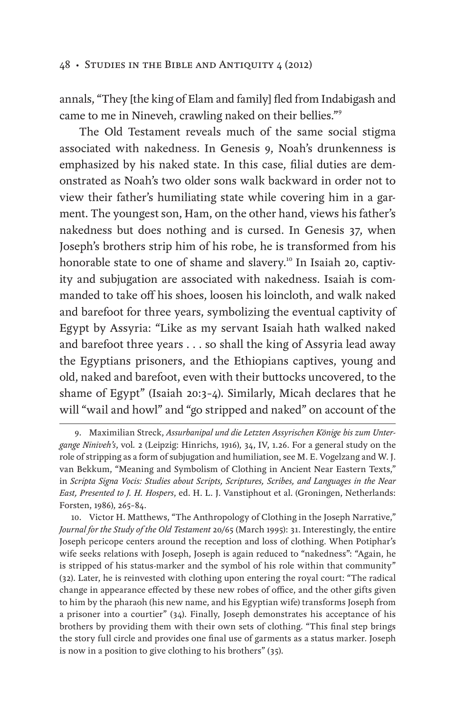annals, "They [the king of Elam and family] fled from Indabigash and came to me in Nineveh, crawling naked on their bellies."<sup>9</sup>

The Old Testament reveals much of the same social stigma associated with nakedness. In Genesis 9, Noah's drunkenness is emphasized by his naked state. In this case, filial duties are demonstrated as Noah's two older sons walk backward in order not to view their father's humiliating state while covering him in a garment. The youngest son, Ham, on the other hand, views his father's nakedness but does nothing and is cursed. In Genesis 37, when Joseph's brothers strip him of his robe, he is transformed from his honorable state to one of shame and slavery.<sup>10</sup> In Isaiah 20, captivity and subjugation are associated with nakedness. Isaiah is commanded to take off his shoes, loosen his loincloth, and walk naked and barefoot for three years, symbolizing the eventual captivity of Egypt by Assyria: "Like as my servant Isaiah hath walked naked and barefoot three years . . . so shall the king of Assyria lead away the Egyptians prisoners, and the Ethiopians captives, young and old, naked and barefoot, even with their buttocks uncovered, to the shame of Egypt" (Isaiah 20:3–4). Similarly, Micah declares that he will "wail and howl" and "go stripped and naked" on account of the

10. Victor H. Matthews, "The Anthropology of Clothing in the Joseph Narrative," *Journal for the Study of the Old Testament* 20/65 (March 1995): 31. Interestingly, the entire Joseph pericope centers around the reception and loss of clothing. When Potiphar's wife seeks relations with Joseph, Joseph is again reduced to "nakedness": "Again, he is stripped of his status-marker and the symbol of his role within that community" (32). Later, he is reinvested with clothing upon entering the royal court: "The radical change in appearance effected by these new robes of office, and the other gifts given to him by the pharaoh (his new name, and his Egyptian wife) transforms Joseph from a prisoner into a courtier" (34). Finally, Joseph demonstrates his acceptance of his brothers by providing them with their own sets of clothing. "This final step brings the story full circle and provides one final use of garments as a status marker. Joseph is now in a position to give clothing to his brothers" (35).

<sup>9.</sup> Maximilian Streck, *Assurbanipal und die Letzten Assyrischen Könige bis zum Untergange Niniveh's*, vol*.* 2 (Leipzig: Hinrichs, 1916), 34, IV, 1.26. For a general study on the role of stripping as a form of subjugation and humiliation, see M. E. Vogelzang and W. J. van Bekkum, "Meaning and Symbolism of Clothing in Ancient Near Eastern Texts," in *Scripta Signa Vocis: Studies about Scripts, Scriptures, Scribes, and Languages in the Near East, Presented to J. H. Hospers*, ed. H. L. J. Vanstiphout et al. (Groningen, Netherlands: Forsten, 1986), 265–84.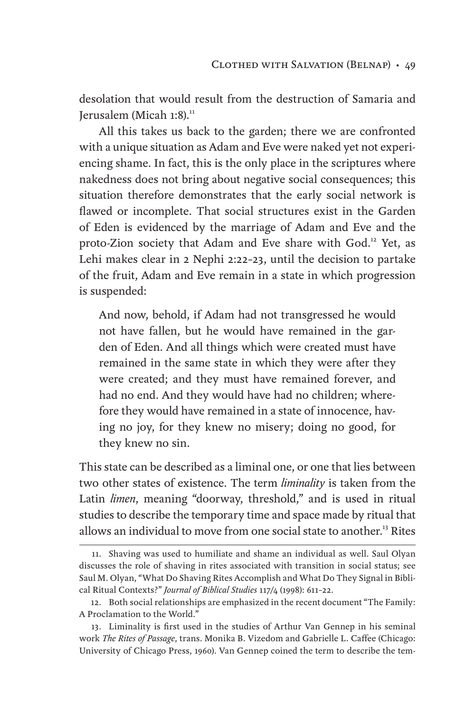desolation that would result from the destruction of Samaria and Jerusalem (Micah 1:8).<sup>11</sup>

All this takes us back to the garden; there we are confronted with a unique situation as Adam and Eve were naked yet not experiencing shame. In fact, this is the only place in the scriptures where nakedness does not bring about negative social consequences; this situation therefore demonstrates that the early social network is flawed or incomplete. That social structures exist in the Garden of Eden is evidenced by the marriage of Adam and Eve and the proto-Zion society that Adam and Eve share with God.<sup>12</sup> Yet, as Lehi makes clear in 2 Nephi 2:22–23, until the decision to partake of the fruit, Adam and Eve remain in a state in which progression is suspended:

And now, behold, if Adam had not transgressed he would not have fallen, but he would have remained in the garden of Eden. And all things which were created must have remained in the same state in which they were after they were created; and they must have remained forever, and had no end. And they would have had no children; wherefore they would have remained in a state of innocence, having no joy, for they knew no misery; doing no good, for they knew no sin.

This state can be described as a liminal one, or one that lies between two other states of existence. The term *liminality* is taken from the Latin *limen*, meaning "doorway, threshold," and is used in ritual studies to describe the temporary time and space made by ritual that allows an individual to move from one social state to another.<sup>13</sup> Rites

<sup>11.</sup> Shaving was used to humiliate and shame an individual as well. Saul Olyan discusses the role of shaving in rites associated with transition in social status; see Saul M. Olyan, "What Do Shaving Rites Accomplish and What Do They Signal in Biblical Ritual Contexts?" *Journal of Biblical Studies* 117/4 (1998): 611–22.

<sup>12.</sup> Both social relationships are emphasized in the recent document "The Family: A Proclamation to the World."

<sup>13.</sup> Liminality is first used in the studies of Arthur Van Gennep in his seminal work *The Rites of Passage*, trans. Monika B. Vizedom and Gabrielle L. Caffee (Chicago: University of Chicago Press, 1960). Van Gennep coined the term to describe the tem-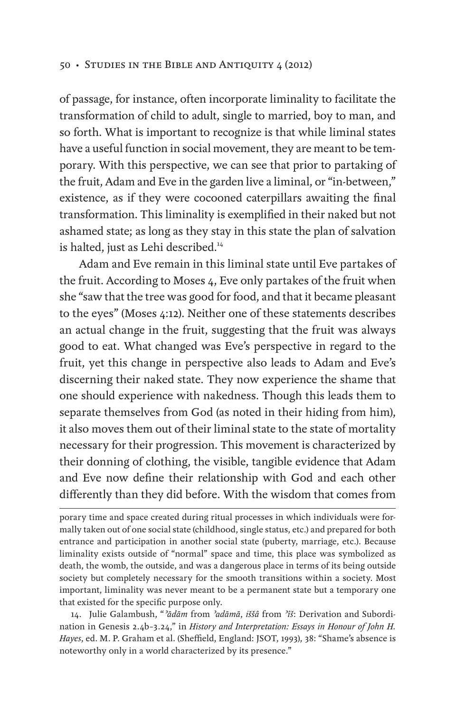of passage, for instance, often incorporate liminality to facilitate the transformation of child to adult, single to married, boy to man, and so forth. What is important to recognize is that while liminal states have a useful function in social movement, they are meant to be temporary. With this perspective, we can see that prior to partaking of the fruit, Adam and Eve in the garden live a liminal, or "in-between," existence, as if they were cocooned caterpillars awaiting the final transformation. This liminality is exemplified in their naked but not ashamed state; as long as they stay in this state the plan of salvation is halted, just as Lehi described.<sup>14</sup>

Adam and Eve remain in this liminal state until Eve partakes of the fruit. According to Moses 4, Eve only partakes of the fruit when she "saw that the tree was good for food, and that it became pleasant to the eyes" (Moses 4:12). Neither one of these statements describes an actual change in the fruit, suggesting that the fruit was always good to eat. What changed was Eve's perspective in regard to the fruit, yet this change in perspective also leads to Adam and Eve's discerning their naked state. They now experience the shame that one should experience with nakedness. Though this leads them to separate themselves from God (as noted in their hiding from him), it also moves them out of their liminal state to the state of mortality necessary for their progression. This movement is characterized by their donning of clothing, the visible, tangible evidence that Adam and Eve now define their relationship with God and each other differently than they did before. With the wisdom that comes from

14. Julie Galambush, "*ʾādām* from *ʾadāmā*, *iššâ* from *ʾîš*: Derivation and Subordination in Genesis 2.4b–3.24," in *History and Interpretation: Essays in Honour of John H. Hayes*, ed. M. P. Graham et al. (Sheffield, England: JSOT, 1993), 38: "Shame's absence is noteworthy only in a world characterized by its presence."

porary time and space created during ritual processes in which individuals were formally taken out of one social state (childhood, single status, etc.) and prepared for both entrance and participation in another social state (puberty, marriage, etc.). Because liminality exists outside of "normal" space and time, this place was symbolized as death, the womb, the outside, and was a dangerous place in terms of its being outside society but completely necessary for the smooth transitions within a society. Most important, liminality was never meant to be a permanent state but a temporary one that existed for the specific purpose only.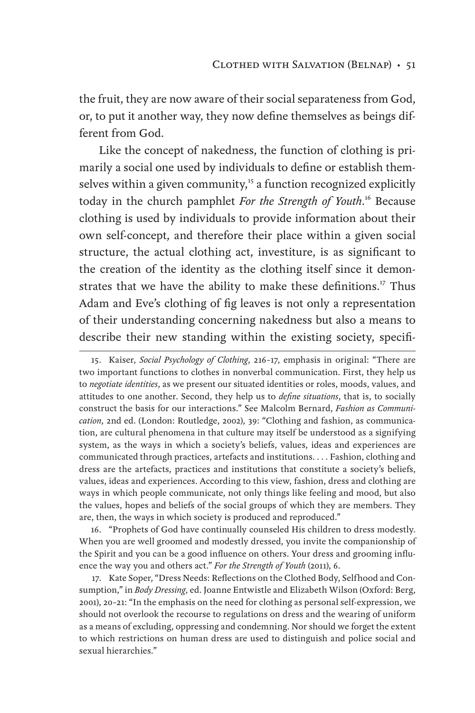the fruit, they are now aware of their social separateness from God, or, to put it another way, they now define themselves as beings different from God.

Like the concept of nakedness, the function of clothing is primarily a social one used by individuals to define or establish themselves within a given community, $15$  a function recognized explicitly today in the church pamphlet *For the Strength of Youth*. <sup>16</sup> Because clothing is used by individuals to provide information about their own self-concept, and therefore their place within a given social structure, the actual clothing act, investiture, is as significant to the creation of the identity as the clothing itself since it demonstrates that we have the ability to make these definitions.<sup>17</sup> Thus Adam and Eve's clothing of fig leaves is not only a representation of their understanding concerning nakedness but also a means to describe their new standing within the existing society, specifi-

16. "Prophets of God have continually counseled His children to dress modestly. When you are well groomed and modestly dressed, you invite the companionship of the Spirit and you can be a good influence on others. Your dress and grooming influence the way you and others act." *For the Strength of Youth* (2011), 6.

17. Kate Soper, "Dress Needs: Reflections on the Clothed Body, Selfhood and Consumption," in *Body Dressing*, ed. Joanne Entwistle and Elizabeth Wilson (Oxford: Berg, 2001), 20–21: "In the emphasis on the need for clothing as personal self-expression, we should not overlook the recourse to regulations on dress and the wearing of uniform as a means of excluding, oppressing and condemning. Nor should we forget the extent to which restrictions on human dress are used to distinguish and police social and sexual hierarchies."

<sup>15.</sup> Kaiser, *Social Psychology of Clothing*, 216–17, emphasis in original: "There are two important functions to clothes in nonverbal communication. First, they help us to *negotiate identities*, as we present our situated identities or roles, moods, values, and attitudes to one another. Second, they help us to *define situations*, that is, to socially construct the basis for our interactions." See Malcolm Bernard, *Fashion as Communication*, 2nd ed. (London: Routledge, 2002), 39: "Clothing and fashion, as communication, are cultural phenomena in that culture may itself be understood as a signifying system, as the ways in which a society's beliefs, values, ideas and experiences are communicated through practices, artefacts and institutions. . . . Fashion, clothing and dress are the artefacts, practices and institutions that constitute a society's beliefs, values, ideas and experiences. According to this view, fashion, dress and clothing are ways in which people communicate, not only things like feeling and mood, but also the values, hopes and beliefs of the social groups of which they are members. They are, then, the ways in which society is produced and reproduced."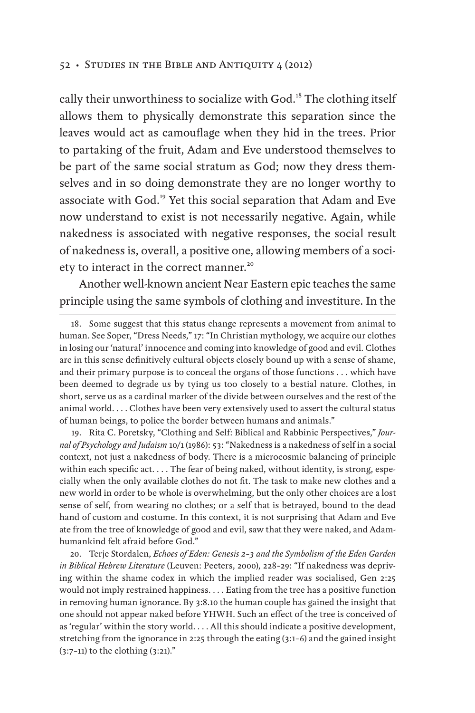cally their unworthiness to socialize with God.<sup>18</sup> The clothing itself allows them to physically demonstrate this separation since the leaves would act as camouflage when they hid in the trees. Prior to partaking of the fruit, Adam and Eve understood themselves to be part of the same social stratum as God; now they dress themselves and in so doing demonstrate they are no longer worthy to associate with God.19 Yet this social separation that Adam and Eve now understand to exist is not necessarily negative. Again, while nakedness is associated with negative responses, the social result of nakedness is, overall, a positive one, allowing members of a society to interact in the correct manner.<sup>20</sup>

Another well-known ancient Near Eastern epic teaches the same principle using the same symbols of clothing and investiture. In the

19. Rita C. Poretsky, "Clothing and Self: Biblical and Rabbinic Perspectives," *Journal of Psychology and Judaism* 10/1 (1986): 53: "Nakedness is a nakedness of self in a social context, not just a nakedness of body. There is a microcosmic balancing of principle within each specific act. . . . The fear of being naked, without identity, is strong, especially when the only available clothes do not fit. The task to make new clothes and a new world in order to be whole is overwhelming, but the only other choices are a lost sense of self, from wearing no clothes; or a self that is betrayed, bound to the dead hand of custom and costume. In this context, it is not surprising that Adam and Eve ate from the tree of knowledge of good and evil, saw that they were naked, and Adamhumankind felt afraid before God."

20. Terje Stordalen, *Echoes of Eden: Genesis 2–3 and the Symbolism of the Eden Garden in Biblical Hebrew Literature* (Leuven: Peeters, 2000), 228–29: "If nakedness was depriving within the shame codex in which the implied reader was socialised, Gen 2:25 would not imply restrained happiness. . . . Eating from the tree has a positive function in removing human ignorance. By 3:8.10 the human couple has gained the insight that one should not appear naked before YHWH. Such an effect of the tree is conceived of as 'regular' within the story world. . . . All this should indicate a positive development, stretching from the ignorance in 2:25 through the eating (3:1–6) and the gained insight (3:7–11) to the clothing (3:21)."

<sup>18.</sup> Some suggest that this status change represents a movement from animal to human. See Soper, "Dress Needs," 17: "In Christian mythology, we acquire our clothes in losing our 'natural' innocence and coming into knowledge of good and evil. Clothes are in this sense definitively cultural objects closely bound up with a sense of shame, and their primary purpose is to conceal the organs of those functions . . . which have been deemed to degrade us by tying us too closely to a bestial nature. Clothes, in short, serve us as a cardinal marker of the divide between ourselves and the rest of the animal world. . . . Clothes have been very extensively used to assert the cultural status of human beings, to police the border between humans and animals."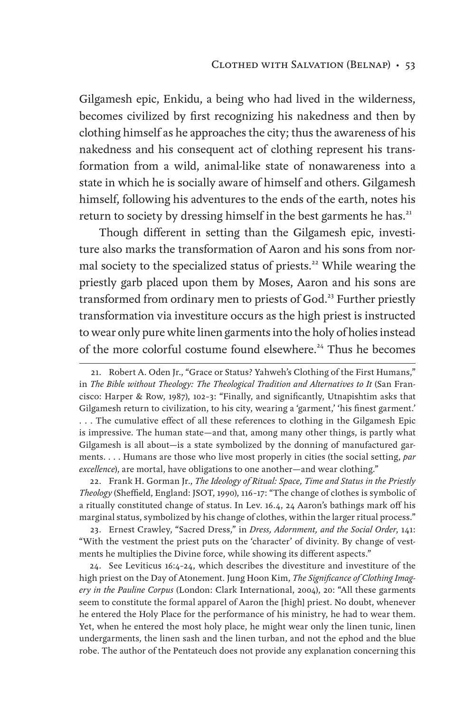Gilgamesh epic, Enkidu, a being who had lived in the wilderness, becomes civilized by first recognizing his nakedness and then by clothing himself as he approaches the city; thus the awareness of his nakedness and his consequent act of clothing represent his transformation from a wild, animal-like state of nonawareness into a state in which he is socially aware of himself and others. Gilgamesh himself, following his adventures to the ends of the earth, notes his return to society by dressing himself in the best garments he has.<sup>21</sup>

Though different in setting than the Gilgamesh epic, investiture also marks the transformation of Aaron and his sons from normal society to the specialized status of priests.<sup>22</sup> While wearing the priestly garb placed upon them by Moses, Aaron and his sons are transformed from ordinary men to priests of God.<sup>23</sup> Further priestly transformation via investiture occurs as the high priest is instructed to wear only pure white linen garments into the holy of holies instead of the more colorful costume found elsewhere.<sup>24</sup> Thus he becomes

22. Frank H. Gorman Jr., *The Ideology of Ritual: Space, Time and Status in the Priestly Theology* (Sheffield, England: JSOT, 1990), 116–17: "The change of clothes is symbolic of a ritually constituted change of status. In Lev. 16.4, 24 Aaron's bathings mark off his marginal status, symbolized by his change of clothes, within the larger ritual process."

23. Ernest Crawley, "Sacred Dress," in *Dress, Adornment, and the Social Order*, 141: "With the vestment the priest puts on the 'character' of divinity. By change of vestments he multiplies the Divine force, while showing its different aspects."

24. See Leviticus 16:4–24, which describes the divestiture and investiture of the high priest on the Day of Atonement. Jung Hoon Kim, *The Significance of Clothing Imagery in the Pauline Corpus* (London: Clark International, 2004), 20: "All these garments seem to constitute the formal apparel of Aaron the [high] priest. No doubt, whenever he entered the Holy Place for the performance of his ministry, he had to wear them. Yet, when he entered the most holy place, he might wear only the linen tunic, linen undergarments, the linen sash and the linen turban, and not the ephod and the blue robe. The author of the Pentateuch does not provide any explanation concerning this

<sup>21.</sup> Robert A. Oden Jr., "Grace or Status? Yahweh's Clothing of the First Humans," in *The Bible without Theology: The Theological Tradition and Alternatives to It* (San Francisco: Harper & Row, 1987), 102–3: "Finally, and significantly, Utnapishtim asks that Gilgamesh return to civilization, to his city, wearing a 'garment,' 'his finest garment.' . . . The cumulative effect of all these references to clothing in the Gilgamesh Epic is impressive. The human state—and that, among many other things, is partly what Gilgamesh is all about—is a state symbolized by the donning of manufactured garments. . . . Humans are those who live most properly in cities (the social setting, *par excellence*), are mortal, have obligations to one another—and wear clothing."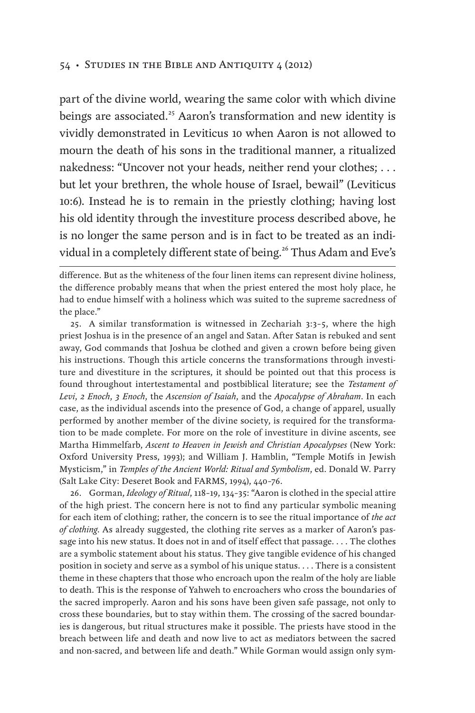part of the divine world, wearing the same color with which divine beings are associated.<sup>25</sup> Aaron's transformation and new identity is vividly demonstrated in Leviticus 10 when Aaron is not allowed to mourn the death of his sons in the traditional manner, a ritualized nakedness: "Uncover not your heads, neither rend your clothes; . . . but let your brethren, the whole house of Israel, bewail" (Leviticus 10:6). Instead he is to remain in the priestly clothing; having lost his old identity through the investiture process described above, he is no longer the same person and is in fact to be treated as an individual in a completely different state of being.<sup>26</sup> Thus Adam and Eve's

25. A similar transformation is witnessed in Zechariah 3:3–5, where the high priest Joshua is in the presence of an angel and Satan. After Satan is rebuked and sent away, God commands that Joshua be clothed and given a crown before being given his instructions. Though this article concerns the transformations through investiture and divestiture in the scriptures, it should be pointed out that this process is found throughout intertestamental and postbiblical literature; see the *Testament of Levi*, *2 Enoch*, *3 Enoch*, the *Ascension of Isaiah*, and the *Apocalypse of Abraham*. In each case, as the individual ascends into the presence of God, a change of apparel, usually performed by another member of the divine society, is required for the transformation to be made complete. For more on the role of investiture in divine ascents, see Martha Himmelfarb, *Ascent to Heaven in Jewish and Christian Apocalypses* (New York: Oxford University Press, 1993); and William J. Hamblin, "Temple Motifs in Jewish Mysticism," in *Temples of the Ancient World: Ritual and Symbolism*, ed. Donald W. Parry (Salt Lake City: Deseret Book and FARMS, 1994), 440–76.

26. Gorman, *Ideology of Ritual*, 118–19, 134–35: "Aaron is clothed in the special attire of the high priest. The concern here is not to find any particular symbolic meaning for each item of clothing; rather, the concern is to see the ritual importance of *the act of clothing*. As already suggested, the clothing rite serves as a marker of Aaron's passage into his new status. It does not in and of itself effect that passage. . . . The clothes are a symbolic statement about his status. They give tangible evidence of his changed position in society and serve as a symbol of his unique status. . . . There is a consistent theme in these chapters that those who encroach upon the realm of the holy are liable to death. This is the response of Yahweh to encroachers who cross the boundaries of the sacred improperly. Aaron and his sons have been given safe passage, not only to cross these boundaries, but to stay within them. The crossing of the sacred boundaries is dangerous, but ritual structures make it possible. The priests have stood in the breach between life and death and now live to act as mediators between the sacred and non-sacred, and between life and death." While Gorman would assign only sym-

difference. But as the whiteness of the four linen items can represent divine holiness, the difference probably means that when the priest entered the most holy place, he had to endue himself with a holiness which was suited to the supreme sacredness of the place."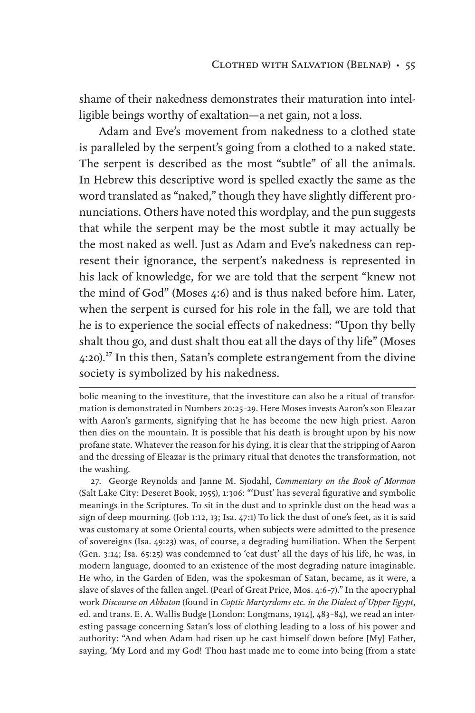shame of their nakedness demonstrates their maturation into intelligible beings worthy of exaltation—a net gain, not a loss.

Adam and Eve's movement from nakedness to a clothed state is paralleled by the serpent's going from a clothed to a naked state. The serpent is described as the most "subtle" of all the animals. In Hebrew this descriptive word is spelled exactly the same as the word translated as "naked," though they have slightly different pronunciations. Others have noted this wordplay, and the pun suggests that while the serpent may be the most subtle it may actually be the most naked as well. Just as Adam and Eve's nakedness can represent their ignorance, the serpent's nakedness is represented in his lack of knowledge, for we are told that the serpent "knew not the mind of God" (Moses 4:6) and is thus naked before him. Later, when the serpent is cursed for his role in the fall, we are told that he is to experience the social effects of nakedness: "Upon thy belly shalt thou go, and dust shalt thou eat all the days of thy life" (Moses  $4:20$ )<sup>27</sup>. In this then, Satan's complete estrangement from the divine society is symbolized by his nakedness.

27. George Reynolds and Janne M. Sjodahl, *Commentary on the Book of Mormon* (Salt Lake City: Deseret Book, 1955), 1:306: "'Dust' has several figurative and symbolic meanings in the Scriptures. To sit in the dust and to sprinkle dust on the head was a sign of deep mourning. (Job 1:12, 13; Isa. 47:1) To lick the dust of one's feet, as it is said was customary at some Oriental courts, when subjects were admitted to the presence of sovereigns (Isa. 49:23) was, of course, a degrading humiliation. When the Serpent (Gen. 3:14; Isa. 65:25) was condemned to 'eat dust' all the days of his life, he was, in modern language, doomed to an existence of the most degrading nature imaginable. He who, in the Garden of Eden, was the spokesman of Satan, became, as it were, a slave of slaves of the fallen angel. (Pearl of Great Price, Mos. 4:6–7)." In the apocryphal work *Discourse on Abbaton* (found in *Coptic Martyrdoms etc. in the Dialect of Upper Egypt*, ed. and trans. E. A. Wallis Budge [London: Longmans, 1914], 483–84), we read an interesting passage concerning Satan's loss of clothing leading to a loss of his power and authority: "And when Adam had risen up he cast himself down before [My] Father, saying, 'My Lord and my God! Thou hast made me to come into being [from a state

bolic meaning to the investiture, that the investiture can also be a ritual of transformation is demonstrated in Numbers 20:25–29. Here Moses invests Aaron's son Eleazar with Aaron's garments, signifying that he has become the new high priest. Aaron then dies on the mountain. It is possible that his death is brought upon by his now profane state. Whatever the reason for his dying, it is clear that the stripping of Aaron and the dressing of Eleazar is the primary ritual that denotes the transformation, not the washing.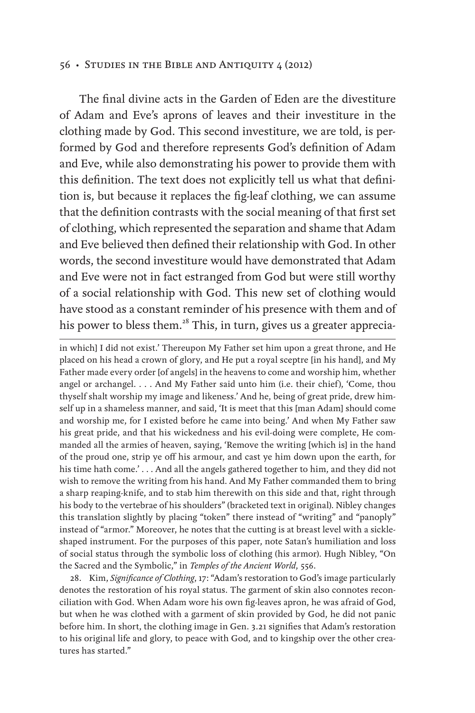The final divine acts in the Garden of Eden are the divestiture of Adam and Eve's aprons of leaves and their investiture in the clothing made by God. This second investiture, we are told, is performed by God and therefore represents God's definition of Adam and Eve, while also demonstrating his power to provide them with this definition. The text does not explicitly tell us what that definition is, but because it replaces the fig-leaf clothing, we can assume that the definition contrasts with the social meaning of that first set of clothing, which represented the separation and shame that Adam and Eve believed then defined their relationship with God. In other words, the second investiture would have demonstrated that Adam and Eve were not in fact estranged from God but were still worthy of a social relationship with God. This new set of clothing would have stood as a constant reminder of his presence with them and of his power to bless them.<sup>28</sup> This, in turn, gives us a greater apprecia-

in which] I did not exist.' Thereupon My Father set him upon a great throne, and He placed on his head a crown of glory, and He put a royal sceptre [in his hand], and My Father made every order [of angels] in the heavens to come and worship him, whether angel or archangel. . . . And My Father said unto him (i.e. their chief), 'Come, thou thyself shalt worship my image and likeness.' And he, being of great pride, drew himself up in a shameless manner, and said, 'It is meet that this [man Adam] should come and worship me, for I existed before he came into being.' And when My Father saw his great pride, and that his wickedness and his evil-doing were complete, He commanded all the armies of heaven, saying, 'Remove the writing [which is] in the hand of the proud one, strip ye off his armour, and cast ye him down upon the earth, for his time hath come.' . . . And all the angels gathered together to him, and they did not wish to remove the writing from his hand. And My Father commanded them to bring a sharp reaping-knife, and to stab him therewith on this side and that, right through his body to the vertebrae of his shoulders" (bracketed text in original). Nibley changes this translation slightly by placing "token" there instead of "writing" and "panoply" instead of "armor." Moreover, he notes that the cutting is at breast level with a sickleshaped instrument. For the purposes of this paper, note Satan's humiliation and loss of social status through the symbolic loss of clothing (his armor). Hugh Nibley, "On the Sacred and the Symbolic," in *Temples of the Ancient World*, 556.

28. Kim, *Significance of Clothing*, 17: "Adam's restoration to God's image particularly denotes the restoration of his royal status. The garment of skin also connotes reconciliation with God. When Adam wore his own fig-leaves apron, he was afraid of God, but when he was clothed with a garment of skin provided by God, he did not panic before him. In short, the clothing image in Gen. 3.21 signifies that Adam's restoration to his original life and glory, to peace with God, and to kingship over the other creatures has started."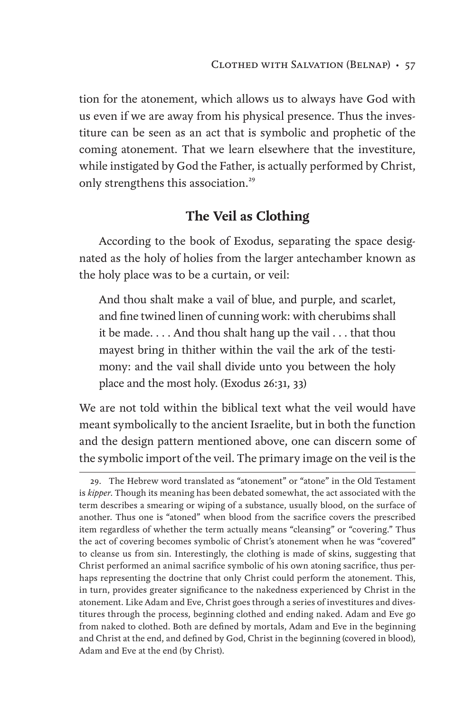tion for the atonement, which allows us to always have God with us even if we are away from his physical presence. Thus the investiture can be seen as an act that is symbolic and prophetic of the coming atonement. That we learn elsewhere that the investiture, while instigated by God the Father, is actually performed by Christ, only strengthens this association.<sup>29</sup>

## **The Veil as Clothing**

According to the book of Exodus, separating the space designated as the holy of holies from the larger antechamber known as the holy place was to be a curtain, or veil:

And thou shalt make a vail of blue, and purple, and scarlet, and fine twined linen of cunning work: with cherubims shall it be made. . . . And thou shalt hang up the vail . . . that thou mayest bring in thither within the vail the ark of the testimony: and the vail shall divide unto you between the holy place and the most holy. (Exodus 26:31, 33)

We are not told within the biblical text what the veil would have meant symbolically to the ancient Israelite, but in both the function and the design pattern mentioned above, one can discern some of the symbolic import of the veil. The primary image on the veil is the

<sup>29.</sup> The Hebrew word translated as "atonement" or "atone" in the Old Testament is *kipper*. Though its meaning has been debated somewhat, the act associated with the term describes a smearing or wiping of a substance, usually blood, on the surface of another. Thus one is "atoned" when blood from the sacrifice covers the prescribed item regardless of whether the term actually means "cleansing" or "covering." Thus the act of covering becomes symbolic of Christ's atonement when he was "covered" to cleanse us from sin. Interestingly, the clothing is made of skins, suggesting that Christ performed an animal sacrifice symbolic of his own atoning sacrifice, thus perhaps representing the doctrine that only Christ could perform the atonement. This, in turn, provides greater significance to the nakedness experienced by Christ in the atonement. Like Adam and Eve, Christ goes through a series of investitures and divestitures through the process, beginning clothed and ending naked. Adam and Eve go from naked to clothed. Both are defined by mortals, Adam and Eve in the beginning and Christ at the end, and defined by God, Christ in the beginning (covered in blood), Adam and Eve at the end (by Christ).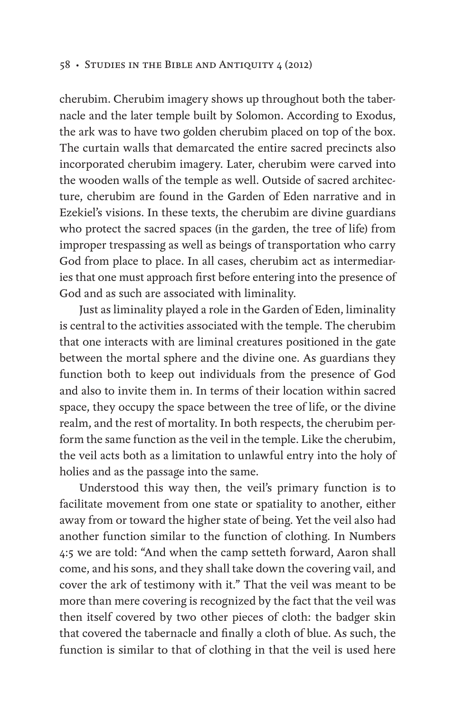cherubim. Cherubim imagery shows up throughout both the tabernacle and the later temple built by Solomon. According to Exodus, the ark was to have two golden cherubim placed on top of the box. The curtain walls that demarcated the entire sacred precincts also incorporated cherubim imagery. Later, cherubim were carved into the wooden walls of the temple as well. Outside of sacred architecture, cherubim are found in the Garden of Eden narrative and in Ezekiel's visions. In these texts, the cherubim are divine guardians who protect the sacred spaces (in the garden, the tree of life) from improper trespassing as well as beings of transportation who carry God from place to place. In all cases, cherubim act as intermediaries that one must approach first before entering into the presence of God and as such are associated with liminality.

Just as liminality played a role in the Garden of Eden, liminality is central to the activities associated with the temple. The cherubim that one interacts with are liminal creatures positioned in the gate between the mortal sphere and the divine one. As guardians they function both to keep out individuals from the presence of God and also to invite them in. In terms of their location within sacred space, they occupy the space between the tree of life, or the divine realm, and the rest of mortality. In both respects, the cherubim perform the same function as the veil in the temple. Like the cherubim, the veil acts both as a limitation to unlawful entry into the holy of holies and as the passage into the same.

Understood this way then, the veil's primary function is to facilitate movement from one state or spatiality to another, either away from or toward the higher state of being. Yet the veil also had another function similar to the function of clothing. In Numbers 4:5 we are told: "And when the camp setteth forward, Aaron shall come, and his sons, and they shall take down the covering vail, and cover the ark of testimony with it." That the veil was meant to be more than mere covering is recognized by the fact that the veil was then itself covered by two other pieces of cloth: the badger skin that covered the tabernacle and finally a cloth of blue. As such, the function is similar to that of clothing in that the veil is used here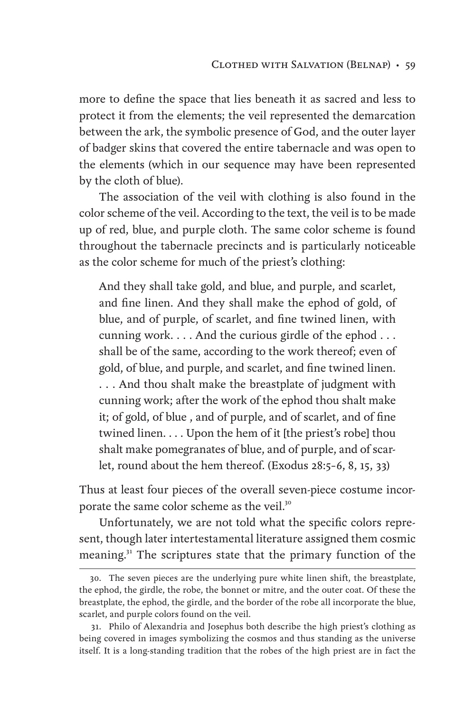more to define the space that lies beneath it as sacred and less to protect it from the elements; the veil represented the demarcation between the ark, the symbolic presence of God, and the outer layer of badger skins that covered the entire tabernacle and was open to the elements (which in our sequence may have been represented by the cloth of blue).

The association of the veil with clothing is also found in the color scheme of the veil. According to the text, the veil is to be made up of red, blue, and purple cloth. The same color scheme is found throughout the tabernacle precincts and is particularly noticeable as the color scheme for much of the priest's clothing:

And they shall take gold, and blue, and purple, and scarlet, and fine linen. And they shall make the ephod of gold, of blue, and of purple, of scarlet, and fine twined linen, with cunning work. . . . And the curious girdle of the ephod . . . shall be of the same, according to the work thereof; even of gold, of blue, and purple, and scarlet, and fine twined linen. . . . And thou shalt make the breastplate of judgment with cunning work; after the work of the ephod thou shalt make it; of gold, of blue , and of purple, and of scarlet, and of fine twined linen. . . . Upon the hem of it [the priest's robe] thou shalt make pomegranates of blue, and of purple, and of scarlet, round about the hem thereof. (Exodus 28:5–6, 8, 15, 33)

Thus at least four pieces of the overall seven-piece costume incorporate the same color scheme as the veil.<sup>30</sup>

Unfortunately, we are not told what the specific colors represent, though later intertestamental literature assigned them cosmic meaning.<sup>31</sup> The scriptures state that the primary function of the

<sup>30.</sup> The seven pieces are the underlying pure white linen shift, the breastplate, the ephod, the girdle, the robe, the bonnet or mitre, and the outer coat. Of these the breastplate, the ephod, the girdle, and the border of the robe all incorporate the blue, scarlet, and purple colors found on the veil.

<sup>31.</sup> Philo of Alexandria and Josephus both describe the high priest's clothing as being covered in images symbolizing the cosmos and thus standing as the universe itself. It is a long-standing tradition that the robes of the high priest are in fact the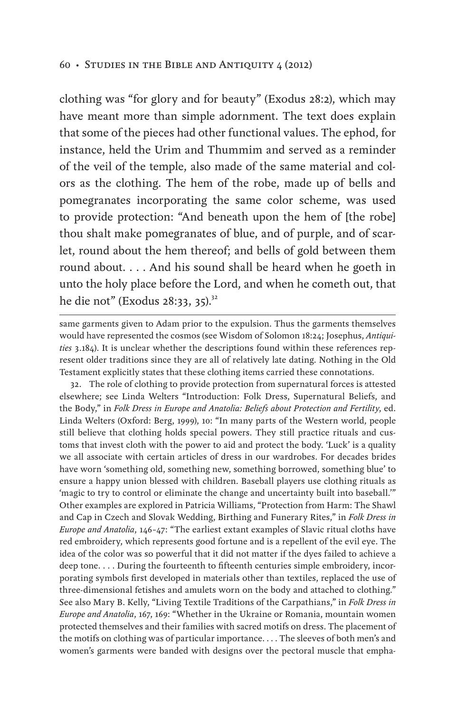clothing was "for glory and for beauty" (Exodus 28:2), which may have meant more than simple adornment. The text does explain that some of the pieces had other functional values. The ephod, for instance, held the Urim and Thummim and served as a reminder of the veil of the temple, also made of the same material and colors as the clothing. The hem of the robe, made up of bells and pomegranates incorporating the same color scheme, was used to provide protection: "And beneath upon the hem of [the robe] thou shalt make pomegranates of blue, and of purple, and of scarlet, round about the hem thereof; and bells of gold between them round about. . . . And his sound shall be heard when he goeth in unto the holy place before the Lord, and when he cometh out, that he die not" (Exodus 28:33, 35).<sup>32</sup>

same garments given to Adam prior to the expulsion. Thus the garments themselves would have represented the cosmos (see Wisdom of Solomon 18:24; Josephus, *Antiquities* 3.184). It is unclear whether the descriptions found within these references represent older traditions since they are all of relatively late dating. Nothing in the Old Testament explicitly states that these clothing items carried these connotations.

32. The role of clothing to provide protection from supernatural forces is attested elsewhere; see Linda Welters "Introduction: Folk Dress, Supernatural Beliefs, and the Body," in *Folk Dress in Europe and Anatolia: Beliefs about Protection and Fertility*, ed. Linda Welters (Oxford: Berg, 1999), 10: "In many parts of the Western world, people still believe that clothing holds special powers. They still practice rituals and customs that invest cloth with the power to aid and protect the body. 'Luck' is a quality we all associate with certain articles of dress in our wardrobes. For decades brides have worn 'something old, something new, something borrowed, something blue' to ensure a happy union blessed with children. Baseball players use clothing rituals as 'magic to try to control or eliminate the change and uncertainty built into baseball.'" Other examples are explored in Patricia Williams, "Protection from Harm: The Shawl and Cap in Czech and Slovak Wedding, Birthing and Funerary Rites," in *Folk Dress in Europe and Anatolia*, 146–47: "The earliest extant examples of Slavic ritual cloths have red embroidery, which represents good fortune and is a repellent of the evil eye. The idea of the color was so powerful that it did not matter if the dyes failed to achieve a deep tone. . . . During the fourteenth to fifteenth centuries simple embroidery, incorporating symbols first developed in materials other than textiles, replaced the use of three-dimensional fetishes and amulets worn on the body and attached to clothing." See also Mary B. Kelly, "Living Textile Traditions of the Carpathians," in *Folk Dress in Europe and Anatolia*, 167, 169: "Whether in the Ukraine or Romania, mountain women protected themselves and their families with sacred motifs on dress. The placement of the motifs on clothing was of particular importance. . . . The sleeves of both men's and women's garments were banded with designs over the pectoral muscle that empha-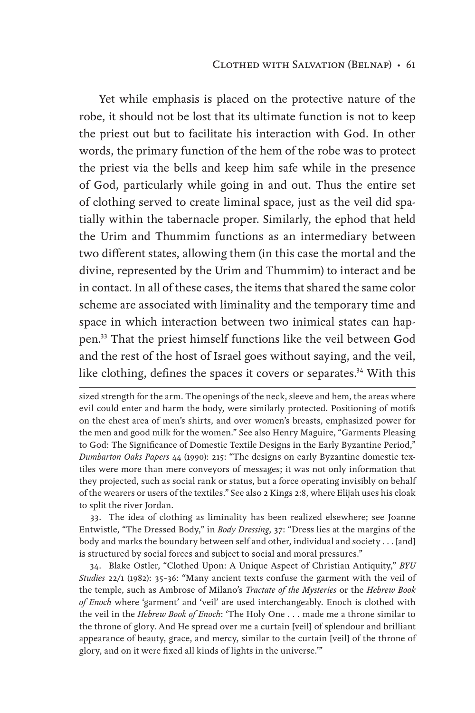Yet while emphasis is placed on the protective nature of the robe, it should not be lost that its ultimate function is not to keep the priest out but to facilitate his interaction with God. In other words, the primary function of the hem of the robe was to protect the priest via the bells and keep him safe while in the presence of God, particularly while going in and out. Thus the entire set of clothing served to create liminal space, just as the veil did spatially within the tabernacle proper. Similarly, the ephod that held the Urim and Thummim functions as an intermediary between two different states, allowing them (in this case the mortal and the divine, represented by the Urim and Thummim) to interact and be in contact. In all of these cases, the items that shared the same color scheme are associated with liminality and the temporary time and space in which interaction between two inimical states can happen.33 That the priest himself functions like the veil between God and the rest of the host of Israel goes without saying, and the veil, like clothing, defines the spaces it covers or separates.<sup>34</sup> With this

33. The idea of clothing as liminality has been realized elsewhere; see Joanne Entwistle, "The Dressed Body," in *Body Dressing*, 37: "Dress lies at the margins of the body and marks the boundary between self and other, individual and society . . . [and] is structured by social forces and subject to social and moral pressures."

34. Blake Ostler, "Clothed Upon: A Unique Aspect of Christian Antiquity," *BYU Studies* 22/1 (1982): 35–36: "Many ancient texts confuse the garment with the veil of the temple, such as Ambrose of Milano's *Tractate of the Mysteries* or the *Hebrew Book of Enoch* where 'garment' and 'veil' are used interchangeably. Enoch is clothed with the veil in the *Hebrew Book of Enoch*: 'The Holy One . . . made me a throne similar to the throne of glory. And He spread over me a curtain [veil] of splendour and brilliant appearance of beauty, grace, and mercy, similar to the curtain [veil] of the throne of glory, and on it were fixed all kinds of lights in the universe.'"

sized strength for the arm. The openings of the neck, sleeve and hem, the areas where evil could enter and harm the body, were similarly protected. Positioning of motifs on the chest area of men's shirts, and over women's breasts, emphasized power for the men and good milk for the women." See also Henry Maguire, "Garments Pleasing to God: The Significance of Domestic Textile Designs in the Early Byzantine Period," *Dumbarton Oaks Papers* 44 (1990): 215: "The designs on early Byzantine domestic textiles were more than mere conveyors of messages; it was not only information that they projected, such as social rank or status, but a force operating invisibly on behalf of the wearers or users of the textiles." See also 2 Kings 2:8, where Elijah uses his cloak to split the river Jordan.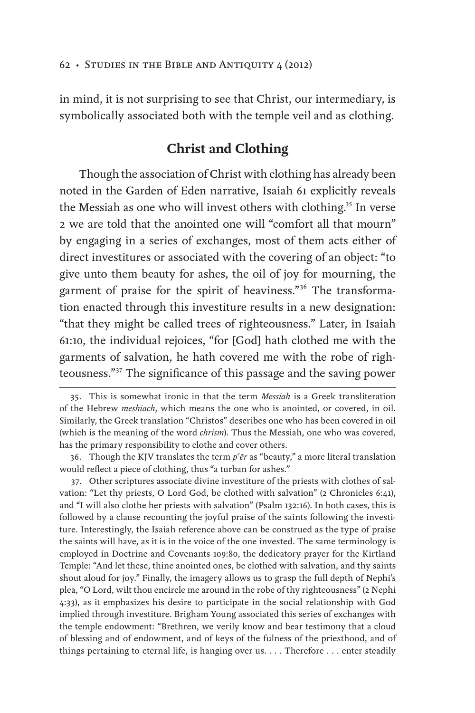in mind, it is not surprising to see that Christ, our intermediary, is symbolically associated both with the temple veil and as clothing.

## **Christ and Clothing**

Though the association of Christ with clothing has already been noted in the Garden of Eden narrative, Isaiah 61 explicitly reveals the Messiah as one who will invest others with clothing.<sup>35</sup> In verse 2 we are told that the anointed one will "comfort all that mourn" by engaging in a series of exchanges, most of them acts either of direct investitures or associated with the covering of an object: "to give unto them beauty for ashes, the oil of joy for mourning, the garment of praise for the spirit of heaviness."<sup>36</sup> The transformation enacted through this investiture results in a new designation: "that they might be called trees of righteousness." Later, in Isaiah 61:10, the individual rejoices, "for [God] hath clothed me with the garments of salvation, he hath covered me with the robe of righteousness."<sup>37</sup> The significance of this passage and the saving power

36. Though the KJV translates the term  $p^e$  *er* as "beauty," a more literal translation would reflect a piece of clothing, thus "a turban for ashes."

37. Other scriptures associate divine investiture of the priests with clothes of salvation: "Let thy priests, O Lord God, be clothed with salvation" (2 Chronicles 6:41), and "I will also clothe her priests with salvation" (Psalm 132:16). In both cases, this is followed by a clause recounting the joyful praise of the saints following the investiture. Interestingly, the Isaiah reference above can be construed as the type of praise the saints will have, as it is in the voice of the one invested. The same terminology is employed in Doctrine and Covenants 109:80, the dedicatory prayer for the Kirtland Temple: "And let these, thine anointed ones, be clothed with salvation, and thy saints shout aloud for joy." Finally, the imagery allows us to grasp the full depth of Nephi's plea, "O Lord, wilt thou encircle me around in the robe of thy righteousness" (2 Nephi 4:33), as it emphasizes his desire to participate in the social relationship with God implied through investiture. Brigham Young associated this series of exchanges with the temple endowment: "Brethren, we verily know and bear testimony that a cloud of blessing and of endowment, and of keys of the fulness of the priesthood, and of things pertaining to eternal life, is hanging over us. . . . Therefore . . . enter steadily

<sup>35.</sup> This is somewhat ironic in that the term *Messiah* is a Greek transliteration of the Hebrew *meshiach*, which means the one who is anointed, or covered, in oil. Similarly, the Greek translation "Christos" describes one who has been covered in oil (which is the meaning of the word *chrism*). Thus the Messiah, one who was covered, has the primary responsibility to clothe and cover others.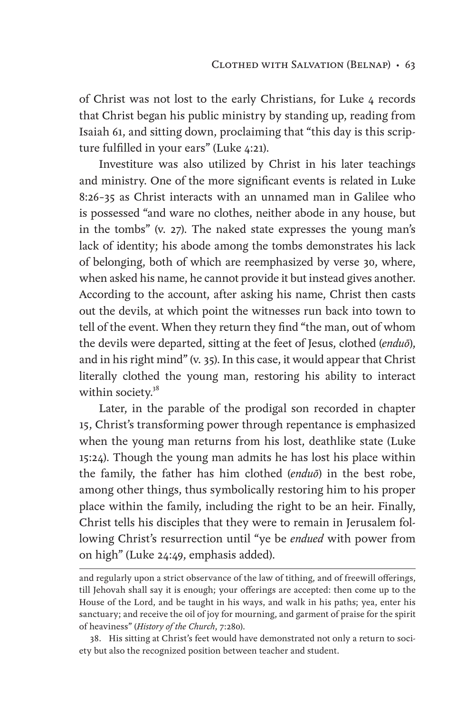of Christ was not lost to the early Christians, for Luke 4 records that Christ began his public ministry by standing up, reading from Isaiah 61, and sitting down, proclaiming that "this day is this scripture fulfilled in your ears" (Luke 4:21).

Investiture was also utilized by Christ in his later teachings and ministry. One of the more significant events is related in Luke 8:26–35 as Christ interacts with an unnamed man in Galilee who is possessed "and ware no clothes, neither abode in any house, but in the tombs" (v. 27). The naked state expresses the young man's lack of identity; his abode among the tombs demonstrates his lack of belonging, both of which are reemphasized by verse 30, where, when asked his name, he cannot provide it but instead gives another. According to the account, after asking his name, Christ then casts out the devils, at which point the witnesses run back into town to tell of the event. When they return they find "the man, out of whom the devils were departed, sitting at the feet of Jesus, clothed (*enduō*), and in his right mind" (v. 35). In this case, it would appear that Christ literally clothed the young man, restoring his ability to interact within society.<sup>38</sup>

Later, in the parable of the prodigal son recorded in chapter 15, Christ's transforming power through repentance is emphasized when the young man returns from his lost, deathlike state (Luke 15:24). Though the young man admits he has lost his place within the family, the father has him clothed (*enduō*) in the best robe, among other things, thus symbolically restoring him to his proper place within the family, including the right to be an heir. Finally, Christ tells his disciples that they were to remain in Jerusalem following Christ's resurrection until "ye be *endued* with power from on high" (Luke 24:49, emphasis added).

and regularly upon a strict observance of the law of tithing, and of freewill offerings, till Jehovah shall say it is enough; your offerings are accepted: then come up to the House of the Lord, and be taught in his ways, and walk in his paths; yea, enter his sanctuary; and receive the oil of joy for mourning, and garment of praise for the spirit of heaviness" (*History of the Church*, 7:280).

<sup>38.</sup> His sitting at Christ's feet would have demonstrated not only a return to society but also the recognized position between teacher and student.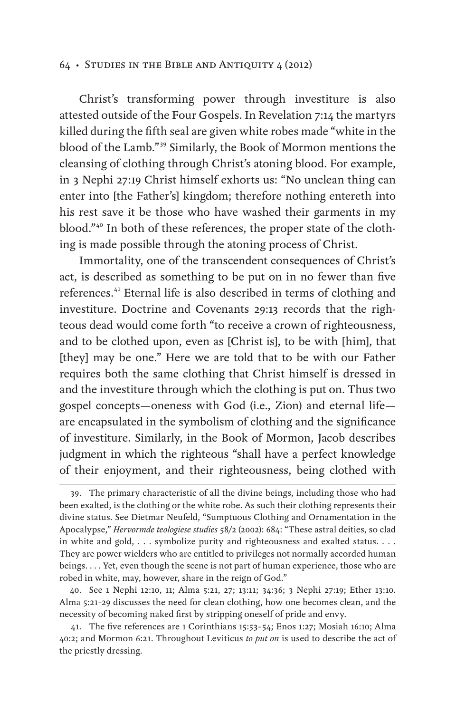Christ's transforming power through investiture is also attested outside of the Four Gospels. In Revelation 7:14 the martyrs killed during the fifth seal are given white robes made "white in the blood of the Lamb."<sup>39</sup> Similarly, the Book of Mormon mentions the cleansing of clothing through Christ's atoning blood. For example, in 3 Nephi 27:19 Christ himself exhorts us: "No unclean thing can enter into [the Father's] kingdom; therefore nothing entereth into his rest save it be those who have washed their garments in my blood."40 In both of these references, the proper state of the clothing is made possible through the atoning process of Christ.

Immortality, one of the transcendent consequences of Christ's act, is described as something to be put on in no fewer than five references.<sup>41</sup> Eternal life is also described in terms of clothing and investiture. Doctrine and Covenants 29:13 records that the righteous dead would come forth "to receive a crown of righteousness, and to be clothed upon, even as [Christ is], to be with [him], that [they] may be one." Here we are told that to be with our Father requires both the same clothing that Christ himself is dressed in and the investiture through which the clothing is put on. Thus two gospel concepts—oneness with God (i.e., Zion) and eternal life are encapsulated in the symbolism of clothing and the significance of investiture. Similarly, in the Book of Mormon, Jacob describes judgment in which the righteous "shall have a perfect knowledge of their enjoyment, and their righteousness, being clothed with

<sup>39.</sup> The primary characteristic of all the divine beings, including those who had been exalted, is the clothing or the white robe. As such their clothing represents their divine status. See Dietmar Neufeld, "Sumptuous Clothing and Ornamentation in the Apocalypse," *Hervormde teologiese studies* 58/2 (2002): 684: "These astral deities, so clad in white and gold, . . . symbolize purity and righteousness and exalted status. . . . They are power wielders who are entitled to privileges not normally accorded human beings. . . . Yet, even though the scene is not part of human experience, those who are robed in white, may, however, share in the reign of God."

<sup>40.</sup> See 1 Nephi 12:10, 11; Alma 5:21, 27; 13:11; 34:36; 3 Nephi 27:19; Ether 13:10. Alma 5:21–29 discusses the need for clean clothing, how one becomes clean, and the necessity of becoming naked first by stripping oneself of pride and envy.

<sup>41.</sup> The five references are 1 Corinthians 15:53–54; Enos 1:27; Mosiah 16:10; Alma 40:2; and Mormon 6:21. Throughout Leviticus *to put on* is used to describe the act of the priestly dressing.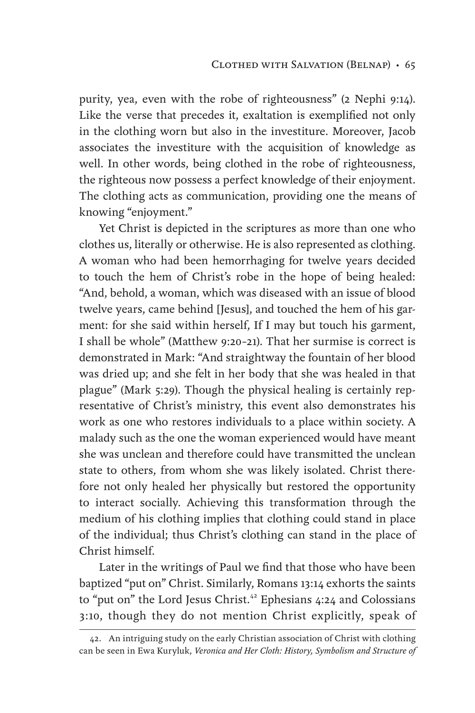purity, yea, even with the robe of righteousness" (2 Nephi 9:14). Like the verse that precedes it, exaltation is exemplified not only in the clothing worn but also in the investiture. Moreover, Jacob associates the investiture with the acquisition of knowledge as well. In other words, being clothed in the robe of righteousness, the righteous now possess a perfect knowledge of their enjoyment. The clothing acts as communication, providing one the means of knowing "enjoyment."

Yet Christ is depicted in the scriptures as more than one who clothes us, literally or otherwise. He is also represented as clothing. A woman who had been hemorrhaging for twelve years decided to touch the hem of Christ's robe in the hope of being healed: "And, behold, a woman, which was diseased with an issue of blood twelve years, came behind [Jesus], and touched the hem of his garment: for she said within herself, If I may but touch his garment, I shall be whole" (Matthew 9:20–21). That her surmise is correct is demonstrated in Mark: "And straightway the fountain of her blood was dried up; and she felt in her body that she was healed in that plague" (Mark 5:29). Though the physical healing is certainly representative of Christ's ministry, this event also demonstrates his work as one who restores individuals to a place within society. A malady such as the one the woman experienced would have meant she was unclean and therefore could have transmitted the unclean state to others, from whom she was likely isolated. Christ therefore not only healed her physically but restored the opportunity to interact socially. Achieving this transformation through the medium of his clothing implies that clothing could stand in place of the individual; thus Christ's clothing can stand in the place of Christ himself.

Later in the writings of Paul we find that those who have been baptized "put on" Christ. Similarly, Romans 13:14 exhorts the saints to "put on" the Lord Jesus Christ.<sup>42</sup> Ephesians 4:24 and Colossians 3:10, though they do not mention Christ explicitly, speak of

<sup>42.</sup> An intriguing study on the early Christian association of Christ with clothing can be seen in Ewa Kuryluk, *Veronica and Her Cloth: History, Symbolism and Structure of*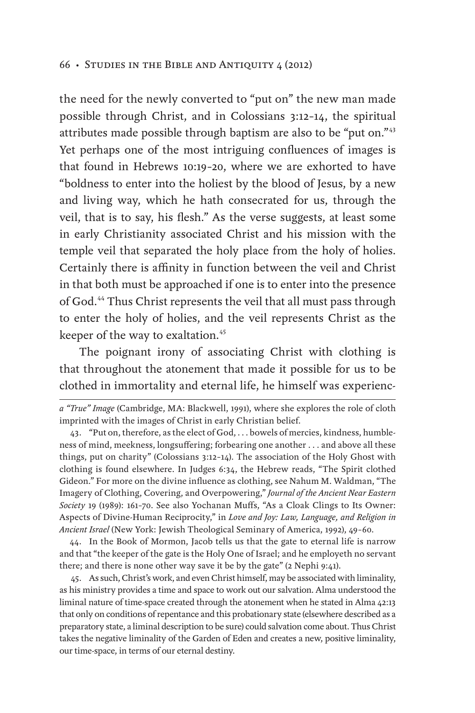the need for the newly converted to "put on" the new man made possible through Christ, and in Colossians 3:12–14, the spiritual attributes made possible through baptism are also to be "put on."<sup>43</sup> Yet perhaps one of the most intriguing confluences of images is that found in Hebrews 10:19–20, where we are exhorted to have "boldness to enter into the holiest by the blood of Jesus, by a new and living way, which he hath consecrated for us, through the veil, that is to say, his flesh." As the verse suggests, at least some in early Christianity associated Christ and his mission with the temple veil that separated the holy place from the holy of holies. Certainly there is affinity in function between the veil and Christ in that both must be approached if one is to enter into the presence of God.44 Thus Christ represents the veil that all must pass through to enter the holy of holies, and the veil represents Christ as the keeper of the way to exaltation.<sup>45</sup>

The poignant irony of associating Christ with clothing is that throughout the atonement that made it possible for us to be clothed in immortality and eternal life, he himself was experienc-

44. In the Book of Mormon, Jacob tells us that the gate to eternal life is narrow and that "the keeper of the gate is the Holy One of Israel; and he employeth no servant there; and there is none other way save it be by the gate" (2 Nephi 9:41).

45. As such, Christ's work, and even Christ himself, may be associated with liminality, as his ministry provides a time and space to work out our salvation. Alma understood the liminal nature of time-space created through the atonement when he stated in Alma 42:13 that only on conditions of repentance and this probationary state (elsewhere described as a preparatory state, a liminal description to be sure) could salvation come about. Thus Christ takes the negative liminality of the Garden of Eden and creates a new, positive liminality, our time-space, in terms of our eternal destiny.

*a "True" Image* (Cambridge, MA: Blackwell, 1991), where she explores the role of cloth imprinted with the images of Christ in early Christian belief.

<sup>43.</sup> "Put on, therefore, as the elect of God, . . . bowels of mercies, kindness, humbleness of mind, meekness, longsuffering; forbearing one another . . . and above all these things, put on charity" (Colossians 3:12–14). The association of the Holy Ghost with clothing is found elsewhere. In Judges 6:34, the Hebrew reads, "The Spirit clothed Gideon." For more on the divine influence as clothing, see Nahum M. Waldman, "The Imagery of Clothing, Covering, and Overpowering," *Journal of the Ancient Near Eastern Society* 19 (1989): 161–70. See also Yochanan Muffs, "As a Cloak Clings to Its Owner: Aspects of Divine-Human Reciprocity," in *Love and Joy: Law, Language, and Religion in Ancient Israel* (New York: Jewish Theological Seminary of America, 1992), 49–60.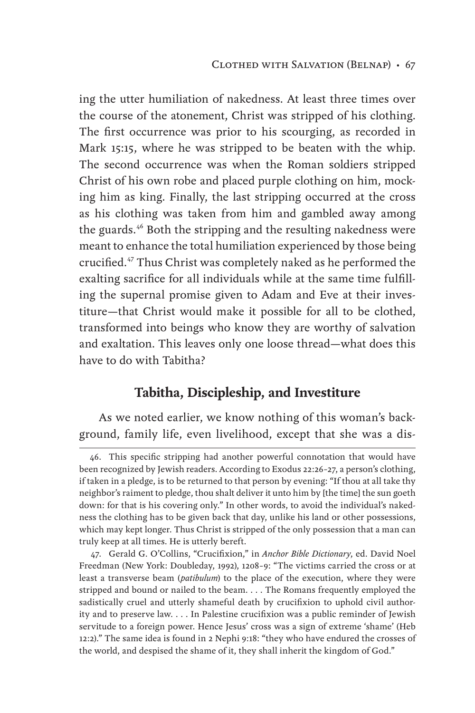ing the utter humiliation of nakedness. At least three times over the course of the atonement, Christ was stripped of his clothing. The first occurrence was prior to his scourging, as recorded in Mark 15:15, where he was stripped to be beaten with the whip. The second occurrence was when the Roman soldiers stripped Christ of his own robe and placed purple clothing on him, mocking him as king. Finally, the last stripping occurred at the cross as his clothing was taken from him and gambled away among the guards.<sup>46</sup> Both the stripping and the resulting nakedness were meant to enhance the total humiliation experienced by those being crucified.<sup>47</sup> Thus Christ was completely naked as he performed the exalting sacrifice for all individuals while at the same time fulfilling the supernal promise given to Adam and Eve at their investiture—that Christ would make it possible for all to be clothed, transformed into beings who know they are worthy of salvation and exaltation. This leaves only one loose thread—what does this have to do with Tabitha?

### **Tabitha, Discipleship, and Investiture**

As we noted earlier, we know nothing of this woman's background, family life, even livelihood, except that she was a dis-

<sup>46.</sup> This specific stripping had another powerful connotation that would have been recognized by Jewish readers. According to Exodus 22:26–27, a person's clothing, if taken in a pledge, is to be returned to that person by evening: "If thou at all take thy neighbor's raiment to pledge, thou shalt deliver it unto him by [the time] the sun goeth down: for that is his covering only." In other words, to avoid the individual's nakedness the clothing has to be given back that day, unlike his land or other possessions, which may kept longer. Thus Christ is stripped of the only possession that a man can truly keep at all times. He is utterly bereft.

<sup>47.</sup> Gerald G. O'Collins, "Crucifixion," in *Anchor Bible Dictionary*, ed. David Noel Freedman (New York: Doubleday, 1992), 1208–9: "The victims carried the cross or at least a transverse beam (*patibulum*) to the place of the execution, where they were stripped and bound or nailed to the beam. . . . The Romans frequently employed the sadistically cruel and utterly shameful death by crucifixion to uphold civil authority and to preserve law. . . . In Palestine crucifixion was a public reminder of Jewish servitude to a foreign power. Hence Jesus' cross was a sign of extreme 'shame' (Heb 12:2)." The same idea is found in 2 Nephi 9:18: "they who have endured the crosses of the world, and despised the shame of it, they shall inherit the kingdom of God."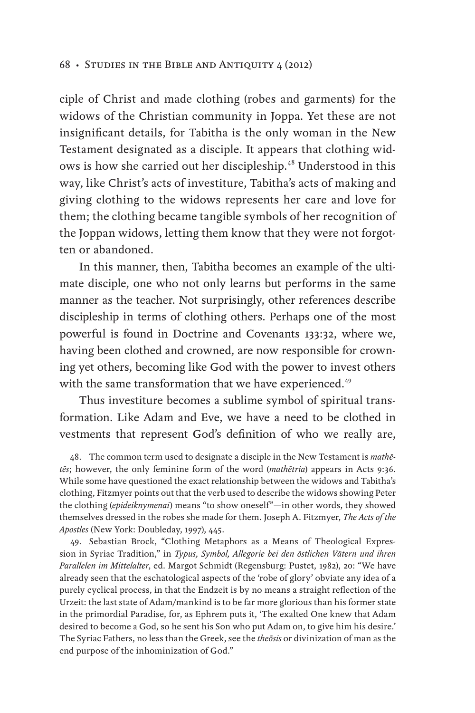ciple of Christ and made clothing (robes and garments) for the widows of the Christian community in Joppa. Yet these are not insignificant details, for Tabitha is the only woman in the New Testament designated as a disciple. It appears that clothing widows is how she carried out her discipleship.<sup>48</sup> Understood in this way, like Christ's acts of investiture, Tabitha's acts of making and giving clothing to the widows represents her care and love for them; the clothing became tangible symbols of her recognition of the Joppan widows, letting them know that they were not forgotten or abandoned.

In this manner, then, Tabitha becomes an example of the ultimate disciple, one who not only learns but performs in the same manner as the teacher. Not surprisingly, other references describe discipleship in terms of clothing others. Perhaps one of the most powerful is found in Doctrine and Covenants 133:32, where we, having been clothed and crowned, are now responsible for crowning yet others, becoming like God with the power to invest others with the same transformation that we have experienced.<sup>49</sup>

Thus investiture becomes a sublime symbol of spiritual transformation. Like Adam and Eve, we have a need to be clothed in vestments that represent God's definition of who we really are,

<sup>48.</sup> The common term used to designate a disciple in the New Testament is *mathētēs*; however, the only feminine form of the word (*mathētria*) appears in Acts 9:36. While some have questioned the exact relationship between the widows and Tabitha's clothing, Fitzmyer points out that the verb used to describe the widows showing Peter the clothing (*epideiknymenai*) means "to show oneself"—in other words, they showed themselves dressed in the robes she made for them. Joseph A. Fitzmyer, *The Acts of the Apostles* (New York: Doubleday, 1997), 445.

<sup>49.</sup> Sebastian Brock, "Clothing Metaphors as a Means of Theological Expression in Syriac Tradition," in *Typus, Symbol, Allegorie bei den östlichen Vätern und ihren Parallelen im Mittelalter*, ed. Margot Schmidt (Regensburg: Pustet, 1982), 20: "We have already seen that the eschatological aspects of the 'robe of glory' obviate any idea of a purely cyclical process, in that the Endzeit is by no means a straight reflection of the Urzeit: the last state of Adam/mankind is to be far more glorious than his former state in the primordial Paradise, for, as Ephrem puts it, 'The exalted One knew that Adam desired to become a God, so he sent his Son who put Adam on, to give him his desire.' The Syriac Fathers, no less than the Greek, see the *theōsis* or divinization of man as the end purpose of the inhominization of God."